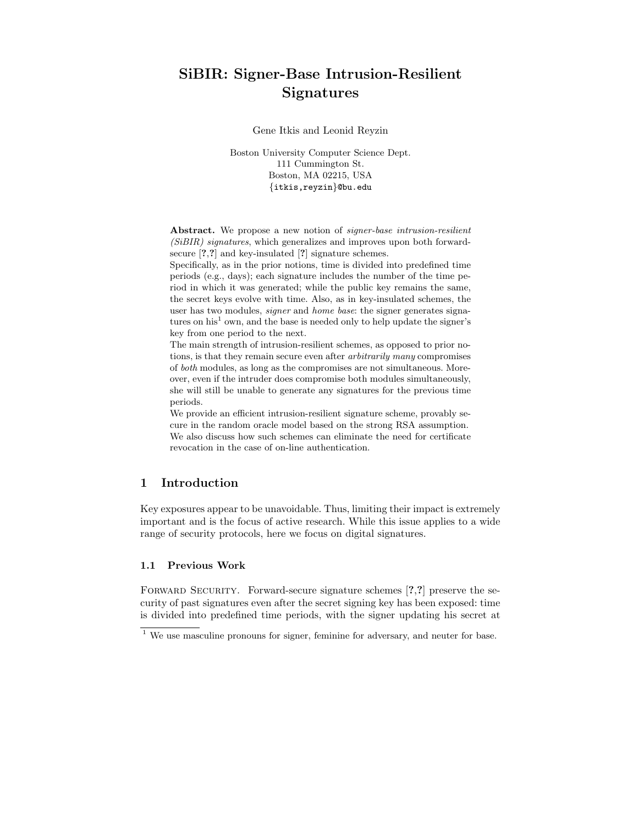# SiBIR: Signer-Base Intrusion-Resilient Signatures

Gene Itkis and Leonid Reyzin

Boston University Computer Science Dept. 111 Cummington St. Boston, MA 02215, USA {itkis,reyzin}@bu.edu

Abstract. We propose a new notion of *signer-base intrusion-resilient* (SiBIR) signatures, which generalizes and improves upon both forwardsecure  $[?,?]$  and key-insulated  $[?]$  signature schemes.

Specifically, as in the prior notions, time is divided into predefined time periods (e.g., days); each signature includes the number of the time period in which it was generated; while the public key remains the same, the secret keys evolve with time. Also, as in key-insulated schemes, the user has two modules, *signer* and *home base*: the signer generates signatures on his<sup>1</sup> own, and the base is needed only to help update the signer's key from one period to the next.

The main strength of intrusion-resilient schemes, as opposed to prior notions, is that they remain secure even after arbitrarily many compromises of both modules, as long as the compromises are not simultaneous. Moreover, even if the intruder does compromise both modules simultaneously, she will still be unable to generate any signatures for the previous time periods.

We provide an efficient intrusion-resilient signature scheme, provably secure in the random oracle model based on the strong RSA assumption. We also discuss how such schemes can eliminate the need for certificate revocation in the case of on-line authentication.

# 1 Introduction

Key exposures appear to be unavoidable. Thus, limiting their impact is extremely important and is the focus of active research. While this issue applies to a wide range of security protocols, here we focus on digital signatures.

## 1.1 Previous Work

FORWARD SECURITY. Forward-secure signature schemes [?,?] preserve the security of past signatures even after the secret signing key has been exposed: time is divided into predefined time periods, with the signer updating his secret at

<sup>&</sup>lt;sup>1</sup> We use masculine pronouns for signer, feminine for adversary, and neuter for base.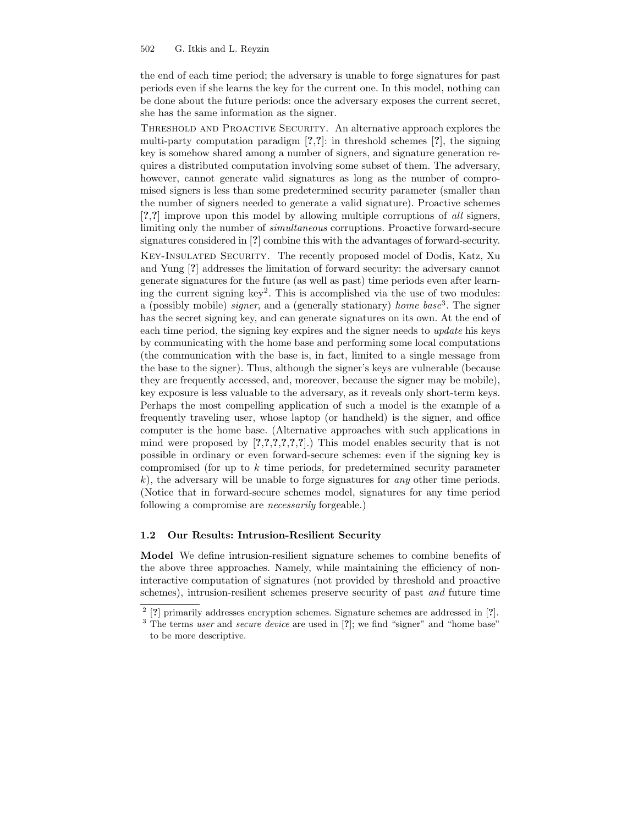the end of each time period; the adversary is unable to forge signatures for past periods even if she learns the key for the current one. In this model, nothing can be done about the future periods: once the adversary exposes the current secret, she has the same information as the signer.

Threshold and Proactive Security. An alternative approach explores the multi-party computation paradigm [?,?]: in threshold schemes [?], the signing key is somehow shared among a number of signers, and signature generation requires a distributed computation involving some subset of them. The adversary, however, cannot generate valid signatures as long as the number of compromised signers is less than some predetermined security parameter (smaller than the number of signers needed to generate a valid signature). Proactive schemes [?,?] improve upon this model by allowing multiple corruptions of all signers, limiting only the number of simultaneous corruptions. Proactive forward-secure signatures considered in [?] combine this with the advantages of forward-security. Key-Insulated Security. The recently proposed model of Dodis, Katz, Xu and Yung [?] addresses the limitation of forward security: the adversary cannot

generate signatures for the future (as well as past) time periods even after learning the current signing key<sup>2</sup> . This is accomplished via the use of two modules: a (possibly mobile) *signer*, and a (generally stationary) *home base*<sup>3</sup>. The signer has the secret signing key, and can generate signatures on its own. At the end of each time period, the signing key expires and the signer needs to update his keys by communicating with the home base and performing some local computations (the communication with the base is, in fact, limited to a single message from the base to the signer). Thus, although the signer's keys are vulnerable (because they are frequently accessed, and, moreover, because the signer may be mobile), key exposure is less valuable to the adversary, as it reveals only short-term keys. Perhaps the most compelling application of such a model is the example of a frequently traveling user, whose laptop (or handheld) is the signer, and office computer is the home base. (Alternative approaches with such applications in mind were proposed by  $[?,?,?,?,?,']$ .) This model enables security that is not possible in ordinary or even forward-secure schemes: even if the signing key is compromised (for up to  $k$  time periods, for predetermined security parameter  $k$ ), the adversary will be unable to forge signatures for *any* other time periods. (Notice that in forward-secure schemes model, signatures for any time period following a compromise are *necessarily* forgeable.)

#### 1.2 Our Results: Intrusion-Resilient Security

Model We define intrusion-resilient signature schemes to combine benefits of the above three approaches. Namely, while maintaining the efficiency of noninteractive computation of signatures (not provided by threshold and proactive schemes), intrusion-resilient schemes preserve security of past and future time

<sup>&</sup>lt;sup>2</sup> [?] primarily addresses encryption schemes. Signature schemes are addressed in [?].

<sup>&</sup>lt;sup>3</sup> The terms user and secure device are used in [?]; we find "signer" and "home base" to be more descriptive.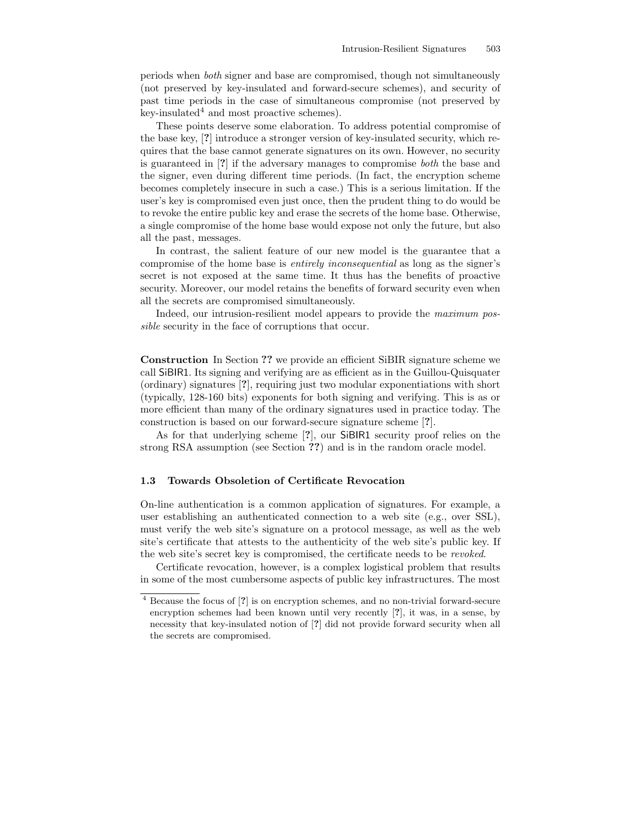periods when both signer and base are compromised, though not simultaneously (not preserved by key-insulated and forward-secure schemes), and security of past time periods in the case of simultaneous compromise (not preserved by  $key$ -insulated<sup>4</sup> and most proactive schemes).

These points deserve some elaboration. To address potential compromise of the base key, [?] introduce a stronger version of key-insulated security, which requires that the base cannot generate signatures on its own. However, no security is guaranteed in [?] if the adversary manages to compromise both the base and the signer, even during different time periods. (In fact, the encryption scheme becomes completely insecure in such a case.) This is a serious limitation. If the user's key is compromised even just once, then the prudent thing to do would be to revoke the entire public key and erase the secrets of the home base. Otherwise, a single compromise of the home base would expose not only the future, but also all the past, messages.

In contrast, the salient feature of our new model is the guarantee that a compromise of the home base is entirely inconsequential as long as the signer's secret is not exposed at the same time. It thus has the benefits of proactive security. Moreover, our model retains the benefits of forward security even when all the secrets are compromised simultaneously.

Indeed, our intrusion-resilient model appears to provide the maximum possible security in the face of corruptions that occur.

Construction In Section ?? we provide an efficient SiBIR signature scheme we call SiBIR1. Its signing and verifying are as efficient as in the Guillou-Quisquater (ordinary) signatures [?], requiring just two modular exponentiations with short (typically, 128-160 bits) exponents for both signing and verifying. This is as or more efficient than many of the ordinary signatures used in practice today. The construction is based on our forward-secure signature scheme [?].

As for that underlying scheme [?], our SiBIR1 security proof relies on the strong RSA assumption (see Section ??) and is in the random oracle model.

## 1.3 Towards Obsoletion of Certificate Revocation

On-line authentication is a common application of signatures. For example, a user establishing an authenticated connection to a web site (e.g., over SSL), must verify the web site's signature on a protocol message, as well as the web site's certificate that attests to the authenticity of the web site's public key. If the web site's secret key is compromised, the certificate needs to be revoked.

Certificate revocation, however, is a complex logistical problem that results in some of the most cumbersome aspects of public key infrastructures. The most

 $^4$  Because the focus of  $\left[?\right]$  is on encryption schemes, and no non-trivial forward-secure encryption schemes had been known until very recently [?], it was, in a sense, by necessity that key-insulated notion of [?] did not provide forward security when all the secrets are compromised.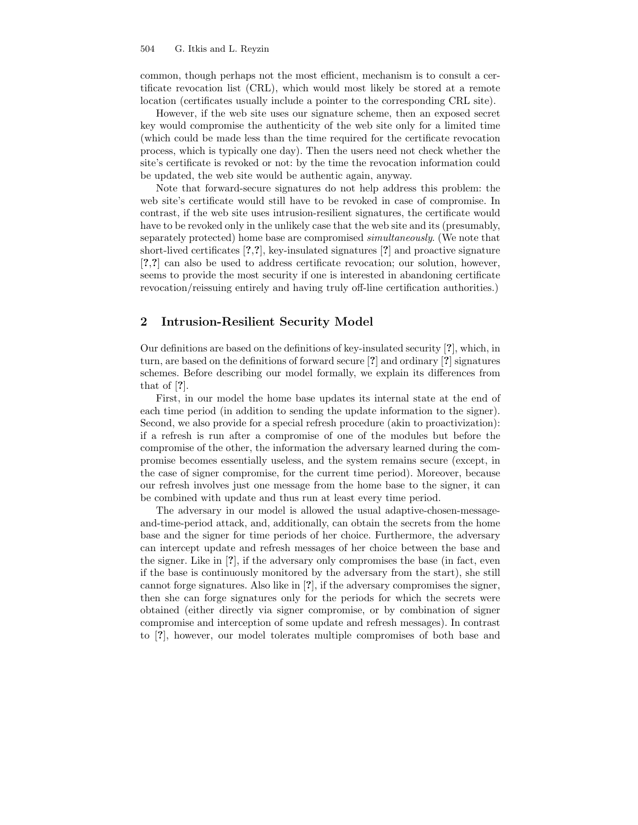common, though perhaps not the most efficient, mechanism is to consult a certificate revocation list (CRL), which would most likely be stored at a remote location (certificates usually include a pointer to the corresponding CRL site).

However, if the web site uses our signature scheme, then an exposed secret key would compromise the authenticity of the web site only for a limited time (which could be made less than the time required for the certificate revocation process, which is typically one day). Then the users need not check whether the site's certificate is revoked or not: by the time the revocation information could be updated, the web site would be authentic again, anyway.

Note that forward-secure signatures do not help address this problem: the web site's certificate would still have to be revoked in case of compromise. In contrast, if the web site uses intrusion-resilient signatures, the certificate would have to be revoked only in the unlikely case that the web site and its (presumably, separately protected) home base are compromised simultaneously. (We note that short-lived certificates [?,?], key-insulated signatures [?] and proactive signature [?,?] can also be used to address certificate revocation; our solution, however, seems to provide the most security if one is interested in abandoning certificate revocation/reissuing entirely and having truly off-line certification authorities.)

# 2 Intrusion-Resilient Security Model

Our definitions are based on the definitions of key-insulated security [?], which, in turn, are based on the definitions of forward secure [?] and ordinary [?] signatures schemes. Before describing our model formally, we explain its differences from that of [?].

First, in our model the home base updates its internal state at the end of each time period (in addition to sending the update information to the signer). Second, we also provide for a special refresh procedure (akin to proactivization): if a refresh is run after a compromise of one of the modules but before the compromise of the other, the information the adversary learned during the compromise becomes essentially useless, and the system remains secure (except, in the case of signer compromise, for the current time period). Moreover, because our refresh involves just one message from the home base to the signer, it can be combined with update and thus run at least every time period.

The adversary in our model is allowed the usual adaptive-chosen-messageand-time-period attack, and, additionally, can obtain the secrets from the home base and the signer for time periods of her choice. Furthermore, the adversary can intercept update and refresh messages of her choice between the base and the signer. Like in [?], if the adversary only compromises the base (in fact, even if the base is continuously monitored by the adversary from the start), she still cannot forge signatures. Also like in [?], if the adversary compromises the signer, then she can forge signatures only for the periods for which the secrets were obtained (either directly via signer compromise, or by combination of signer compromise and interception of some update and refresh messages). In contrast to [?], however, our model tolerates multiple compromises of both base and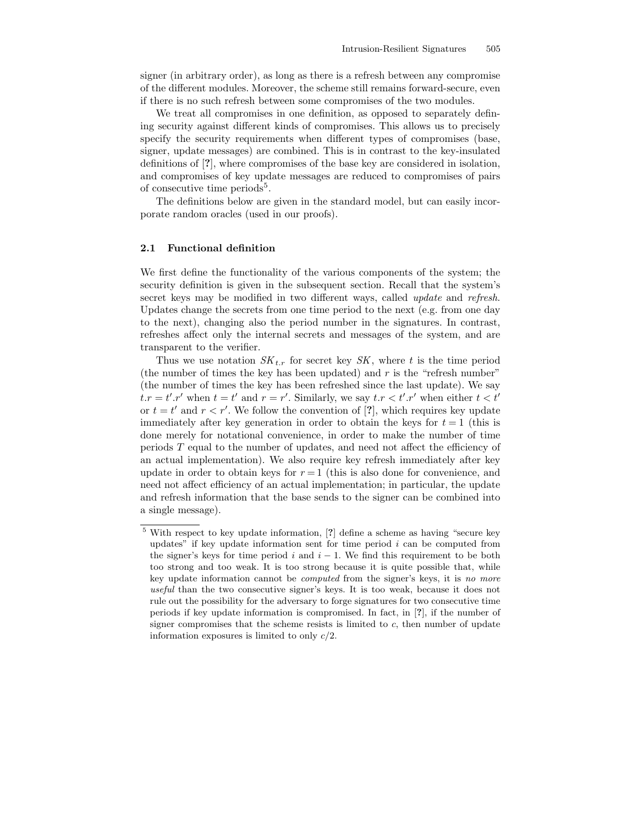signer (in arbitrary order), as long as there is a refresh between any compromise of the different modules. Moreover, the scheme still remains forward-secure, even if there is no such refresh between some compromises of the two modules.

We treat all compromises in one definition, as opposed to separately defining security against different kinds of compromises. This allows us to precisely specify the security requirements when different types of compromises (base, signer, update messages) are combined. This is in contrast to the key-insulated definitions of [?], where compromises of the base key are considered in isolation, and compromises of key update messages are reduced to compromises of pairs of consecutive time periods<sup>5</sup>.

The definitions below are given in the standard model, but can easily incorporate random oracles (used in our proofs).

## 2.1 Functional definition

We first define the functionality of the various components of the system; the security definition is given in the subsequent section. Recall that the system's secret keys may be modified in two different ways, called update and refresh. Updates change the secrets from one time period to the next (e.g. from one day to the next), changing also the period number in the signatures. In contrast, refreshes affect only the internal secrets and messages of the system, and are transparent to the verifier.

Thus we use notation  $SK_{t,r}$  for secret key  $SK$ , where t is the time period (the number of times the key has been updated) and  $r$  is the "refresh number" (the number of times the key has been refreshed since the last update). We say  $t.r = t'.r'$  when  $t = t'$  and  $r = r'$ . Similarly, we say  $t.r < t'.r'$  when either  $t < t'$ or  $t = t'$  and  $r < r'$ . We follow the convention of [?], which requires key update immediately after key generation in order to obtain the keys for  $t = 1$  (this is done merely for notational convenience, in order to make the number of time periods T equal to the number of updates, and need not affect the efficiency of an actual implementation). We also require key refresh immediately after key update in order to obtain keys for  $r = 1$  (this is also done for convenience, and need not affect efficiency of an actual implementation; in particular, the update and refresh information that the base sends to the signer can be combined into a single message).

<sup>5</sup> With respect to key update information, [?] define a scheme as having "secure key updates" if key update information sent for time period  $i$  can be computed from the signer's keys for time period  $i$  and  $i - 1$ . We find this requirement to be both too strong and too weak. It is too strong because it is quite possible that, while key update information cannot be computed from the signer's keys, it is no more useful than the two consecutive signer's keys. It is too weak, because it does not rule out the possibility for the adversary to forge signatures for two consecutive time periods if key update information is compromised. In fact, in [?], if the number of signer compromises that the scheme resists is limited to  $c$ , then number of update information exposures is limited to only  $c/2$ .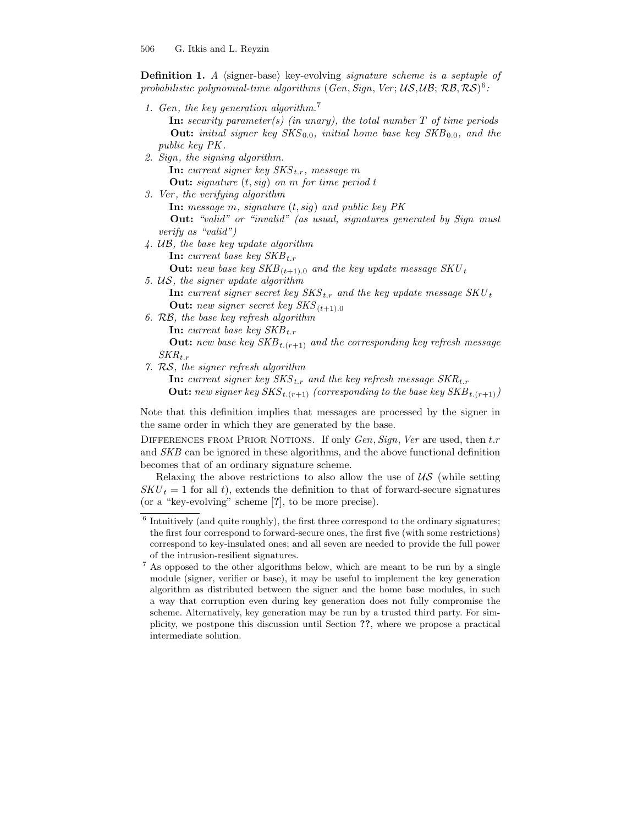**Definition 1.** A  $\langle$  signer-base $\rangle$  key-evolving signature scheme is a septuple of probabilistic polynomial-time algorithms (Gen, Sign, Ver;  $\mathcal{US}, \mathcal{UB}; \mathcal{RB}, \mathcal{RS})^6$ :

1. Gen, the key generation algorithm.<sup>7</sup>

In: security parameter(s) (in unary), the total number  $T$  of time periods **Out:** initial signer key  $SKS_{0.0}$ , initial home base key  $SKB_{0.0}$ , and the public key PK.

2. Sign, the signing algorithm.

In: current signer key  $SKS_{t.r}$ , message m

**Out:** signature  $(t, sig)$  on  $m$  for time period  $t$ 

3. Ver , the verifying algorithm

In: message m, signature  $(t, sig)$  and public key  $PK$ 

Out: "valid" or "invalid" (as usual, signatures generated by Sign must verify as "valid")

4. UB, the base key update algorithm

**In:** current base key  $SKB_{t,r}$ 

**Out:** new base key  $SKB_{(t+1),0}$  and the key update message  $SKU_t$ 

5. US, the signer update algorithm

In: current signer secret key  $S K S_{t,r}$  and the key update message  $S K U_t$ **Out:** new signer secret key  $SKS_{(t+1),0}$ 

6. RB, the base key refresh algorithm

**In:** current base key  $SKB_{t,r}$ 

**Out:** new base key  $SKB_{t,(r+1)}$  and the corresponding key refresh message  $\mathit{SKR}_{t.r}$ 

7. RS, the signer refresh algorithm

In: current signer key  $SKS_{t,r}$  and the key refresh message  $SKR_{t,r}$ **Out:** new signer key  $SKS_{t,(r+1)}$  (corresponding to the base key  $SKB_{t,(r+1)}$ )

Note that this definition implies that messages are processed by the signer in the same order in which they are generated by the base.

DIFFERENCES FROM PRIOR NOTIONS. If only  $Gen, Sign, Ver$  are used, then  $t.r$ and SKB can be ignored in these algorithms, and the above functional definition becomes that of an ordinary signature scheme.

Relaxing the above restrictions to also allow the use of  $\mathcal{US}$  (while setting  $SKU_t = 1$  for all t), extends the definition to that of forward-secure signatures (or a "key-evolving" scheme [?], to be more precise).

<sup>&</sup>lt;sup>6</sup> Intuitively (and quite roughly), the first three correspond to the ordinary signatures; the first four correspond to forward-secure ones, the first five (with some restrictions) correspond to key-insulated ones; and all seven are needed to provide the full power of the intrusion-resilient signatures.

<sup>&</sup>lt;sup>7</sup> As opposed to the other algorithms below, which are meant to be run by a single module (signer, verifier or base), it may be useful to implement the key generation algorithm as distributed between the signer and the home base modules, in such a way that corruption even during key generation does not fully compromise the scheme. Alternatively, key generation may be run by a trusted third party. For simplicity, we postpone this discussion until Section ??, where we propose a practical intermediate solution.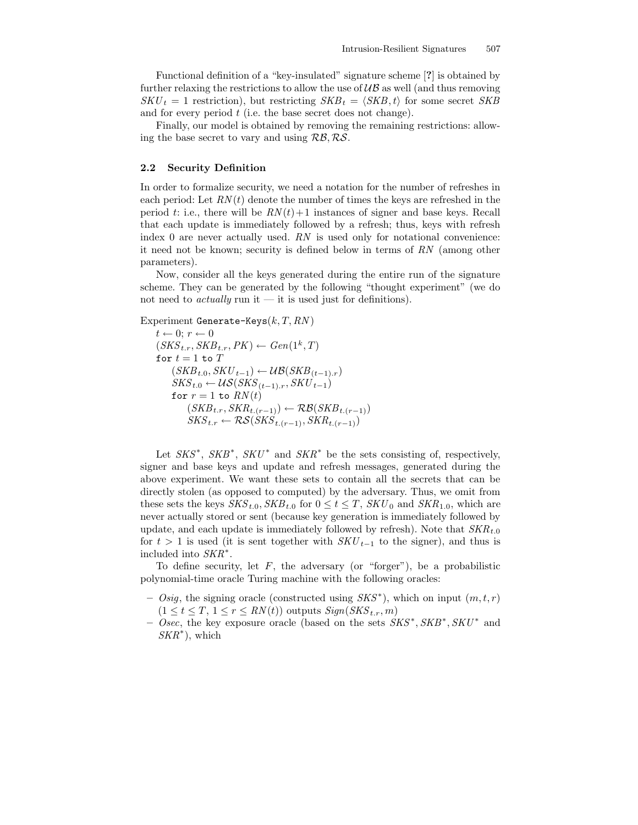Functional definition of a "key-insulated" signature scheme [?] is obtained by further relaxing the restrictions to allow the use of  $\mathcal{UB}$  as well (and thus removing  $SKU_t = 1$  restriction), but restricting  $SKB_t = \langle SKB, t \rangle$  for some secret SKB and for every period  $t$  (i.e. the base secret does not change).

Finally, our model is obtained by removing the remaining restrictions: allowing the base secret to vary and using  $RB, RS$ .

#### 2.2 Security Definition

In order to formalize security, we need a notation for the number of refreshes in each period: Let  $RN(t)$  denote the number of times the keys are refreshed in the period t: i.e., there will be  $RN(t)+1$  instances of signer and base keys. Recall that each update is immediately followed by a refresh; thus, keys with refresh index 0 are never actually used. RN is used only for notational convenience: it need not be known; security is defined below in terms of RN (among other parameters).

Now, consider all the keys generated during the entire run of the signature scheme. They can be generated by the following "thought experiment" (we do not need to *actually* run it — it is used just for definitions).

Experiment Generate-Keys $(k, T, RN)$ 

 $t \leftarrow 0; r \leftarrow 0$  $(SKS_{t.r}, SKB_{t.r}, PK) \leftarrow Gen(1^k, T)$ for  $t = 1$  to  $T$  $(SKB_{t.0}, SKU_{t-1}) \leftarrow \mathcal{UB}(SKB_{(t-1),r})$  $SKS_{t.0} \leftarrow US(SKS_{(t-1).r}, SKU_{t-1})$ for  $r = 1$  to  $RN(t)$  $(SKB_{t,r}, SKR_{t,(r-1)}) \leftarrow \mathcal{RB}(SKB_{t,(r-1)})$  $SKS_{t,r} \leftarrow \mathcal{RS}(SKS_{t,(r-1)}, SKR_{t,(r-1)})$ 

Let  $SKS^*$ ,  $SKB^*$ ,  $SKU^*$  and  $SKR^*$  be the sets consisting of, respectively, signer and base keys and update and refresh messages, generated during the above experiment. We want these sets to contain all the secrets that can be directly stolen (as opposed to computed) by the adversary. Thus, we omit from these sets the keys  $SKS_{t.0}$ ,  $SKB_{t.0}$  for  $0 \le t \le T$ ,  $SKU_0$  and  $SKR_{1.0}$ , which are never actually stored or sent (because key generation is immediately followed by update, and each update is immediately followed by refresh). Note that  $SKR_{t,0}$ for  $t > 1$  is used (it is sent together with  $SKU_{t-1}$  to the signer), and thus is included into  $\mathit{SKR}^*$ .

To define security, let  $F$ , the adversary (or "forger"), be a probabilistic polynomial-time oracle Turing machine with the following oracles:

- $-$  Osig, the signing oracle (constructed using  $SKS^*$ ), which on input  $(m,t,r)$  $(1 \leq t \leq T, 1 \leq r \leq RN(t))$  outputs  $Sign(SKS_{t,r}, m)$
- $-$  Osec, the key exposure oracle (based on the sets  $SKS^*, SKB^*, SKU^*$  and  $SKR^*$ ), which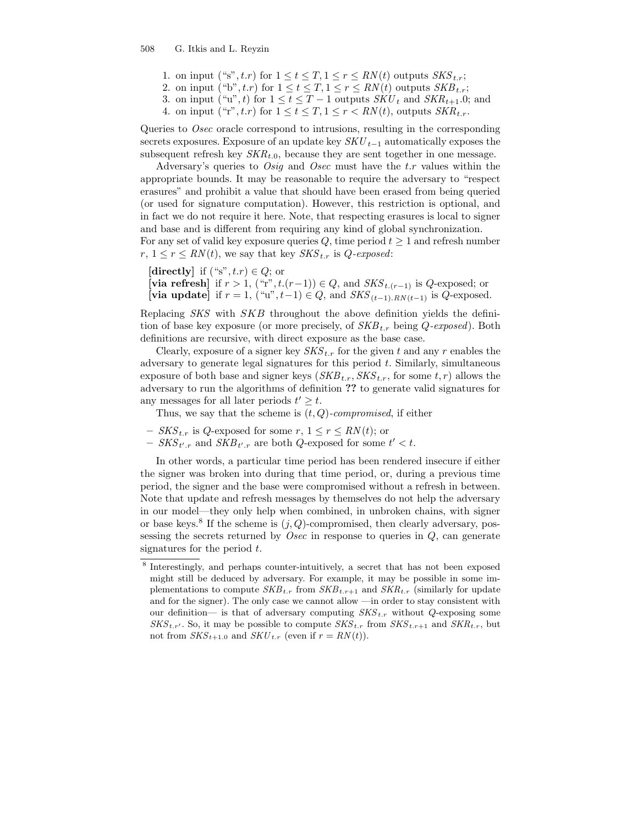- 1. on input ("s", t.r) for  $1 \le t \le T$ ,  $1 \le r \le RN(t)$  outputs  $SKS_{t,r}$ ;
- 2. on input ("b", t.r) for  $1 \le t \le T$ ,  $1 \le r \le RN(t)$  outputs  $SKB_{t,r}$ ;
- 3. on input ("u", t) for  $1 \le t \le T-1$  outputs  $SKU_t$  and  $SKR_{t+1}.0$ ; and
- 4. on input ("r", t.r) for  $1 \le t \le T, 1 \le r < RN(t)$ , outputs  $SKR_{t,r}$ .

Queries to Osec oracle correspond to intrusions, resulting in the corresponding secrets exposures. Exposure of an update key  $SKU_{t-1}$  automatically exposes the subsequent refresh key  $SKR_{t.0}$ , because they are sent together in one message.

Adversary's queries to Osig and Osec must have the t.r values within the appropriate bounds. It may be reasonable to require the adversary to "respect erasures" and prohibit a value that should have been erased from being queried (or used for signature computation). However, this restriction is optional, and in fact we do not require it here. Note, that respecting erasures is local to signer and base and is different from requiring any kind of global synchronization.

For any set of valid key exposure queries Q, time period  $t \geq 1$  and refresh number  $r, 1 \leq r \leq RN(t)$ , we say that key  $SKS_{t,r}$  is Q-exposed:

[directly] if  $({}^{\omega}$ s",  $t.r$ )  $\in Q$ ; or [via refresh] if  $r > 1$ ,  $({}^{\omega}r^{\gamma}, t.(r-1)) \in Q$ , and  $SKS_{t.(r-1)}$  is Q-exposed; or [via update] if  $r = 1$ ,  $({}^{\omega}u^{\nu}, t-1) \in Q$ , and  $SKS_{(t-1), RN(t-1)}$  is Q-exposed.

Replacing SKS with SKB throughout the above definition yields the definition of base key exposure (or more precisely, of  $SKB_{t,r}$  being  $Q$ -exposed). Both definitions are recursive, with direct exposure as the base case.

Clearly, exposure of a signer key  $SKS_{t,r}$  for the given t and any r enables the adversary to generate legal signatures for this period  $t$ . Similarly, simultaneous exposure of both base and signer keys  $(SKB_{t,r}, SKS_{t,r},$  for some  $t, r)$  allows the adversary to run the algorithms of definition ?? to generate valid signatures for any messages for all later periods  $t' \geq t$ .

Thus, we say that the scheme is  $(t, Q)$ -compromised, if either

- $-$  SKS<sub>t,r</sub> is Q-exposed for some r,  $1 \leq r \leq RN(t)$ ; or
- $SKS_{t',r}$  and  $SKB_{t',r}$  are both Q-exposed for some  $t' < t$ .

In other words, a particular time period has been rendered insecure if either the signer was broken into during that time period, or, during a previous time period, the signer and the base were compromised without a refresh in between. Note that update and refresh messages by themselves do not help the adversary in our model—they only help when combined, in unbroken chains, with signer or base keys.<sup>8</sup> If the scheme is  $(j, Q)$ -compromised, then clearly adversary, possessing the secrets returned by *Osec* in response to queries in  $Q$ , can generate signatures for the period  $t$ .

<sup>8</sup> Interestingly, and perhaps counter-intuitively, a secret that has not been exposed might still be deduced by adversary. For example, it may be possible in some implementations to compute  $SKB_{t,r}$  from  $SKB_{t,r+1}$  and  $SKR_{t,r}$  (similarly for update and for the signer). The only case we cannot allow —in order to stay consistent with our definition— is that of adversary computing  $SKS_{t,r}$  without Q-exposing some  $SKS_{t,r'}$ . So, it may be possible to compute  $SKS_{t,r}$  from  $SKS_{t,r+1}$  and  $SKR_{t,r}$ , but not from  $SKS_{t+1.0}$  and  $SKU_{t,r}$  (even if  $r = RN(t)$ ).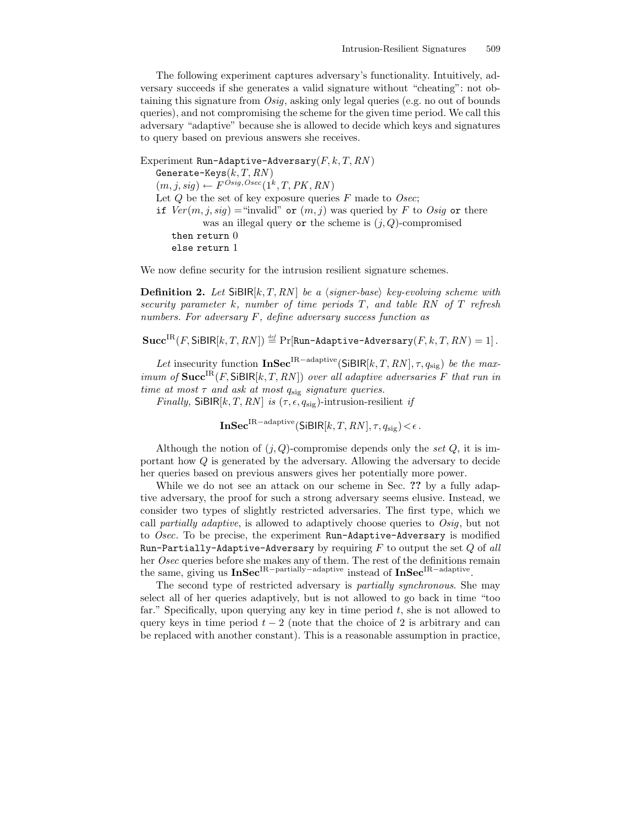The following experiment captures adversary's functionality. Intuitively, adversary succeeds if she generates a valid signature without "cheating": not obtaining this signature from  $Osiq$ , asking only legal queries (e.g. no out of bounds queries), and not compromising the scheme for the given time period. We call this adversary "adaptive" because she is allowed to decide which keys and signatures to query based on previous answers she receives.

Experiment Run-Adaptive-Adversary $(F, k, T, RN)$ Generate-Keys $(k, T, RN)$  $(m, j, sig) \leftarrow F^{Osig, Osec}(1^k, T, PK, RN)$ Let  $Q$  be the set of key exposure queries  $F$  made to Osec; if  $Ver(m, j, sig) = "invalid"$  or  $(m, j)$  was queried by F to Osig or there was an illegal query or the scheme is  $(j, Q)$ -compromised then return 0 else return 1

We now define security for the intrusion resilient signature schemes.

**Definition 2.** Let  $\text{SiBIR}[k, T, RN]$  be a  $\langle signer\text{-}base\rangle$  key-evolving scheme with security parameter k, number of time periods T, and table RN of T refresh numbers. For adversary  $F$ , define adversary success function as

 $\textbf{Succ}^{\text{IR}}(F, \textbf{SiBIR}[k, T, RN]) \stackrel{\text{\tiny def}}{=} \Pr[\text{Run-Adaptive-Adversary}(F, k, T, RN) = 1].$ 

Let insecurity function  $\text{InSec}^{\text{IR-adaptive}}(\text{SiBlR}[k, T, RN], \tau, q_{\text{sig}})$  be the maximum of  $\text{Succ}^{\text{IR}}(F, \text{SiBIR}[k, T, RN])$  over all adaptive adversaries F that run in time at most  $\tau$  and ask at most  $q_{\text{sig}}$  signature queries.

Finally, SiBIR[k, T, RN] is  $(\tau, \epsilon, q_{\text{sig}})$ -intrusion-resilient if

 $\mathbf{InSec}^{\mathrm{IR-adaptive}}(\mathsf{SiBIR}[k,T,RN],\tau,q_{\text{sig}})\!<\!\epsilon$  .

Although the notion of  $(j, Q)$ -compromise depends only the set Q, it is important how Q is generated by the adversary. Allowing the adversary to decide her queries based on previous answers gives her potentially more power.

While we do not see an attack on our scheme in Sec. ?? by a fully adaptive adversary, the proof for such a strong adversary seems elusive. Instead, we consider two types of slightly restricted adversaries. The first type, which we call *partially adaptive*, is allowed to adaptively choose queries to *Osig*, but not to Osec. To be precise, the experiment Run-Adaptive-Adversary is modified Run-Partially-Adaptive-Adversary by requiring  $F$  to output the set  $Q$  of all her *Osec* queries before she makes any of them. The rest of the definitions remain the same, giving us  $\text{InSec}^{\text{IR}-\text{partially-adaptive}}$  instead of  $\text{InSec}^{\text{IR}-\text{adaptive}}$ .

The second type of restricted adversary is partially synchronous. She may select all of her queries adaptively, but is not allowed to go back in time "too far." Specifically, upon querying any key in time period  $t$ , she is not allowed to query keys in time period  $t - 2$  (note that the choice of 2 is arbitrary and can be replaced with another constant). This is a reasonable assumption in practice,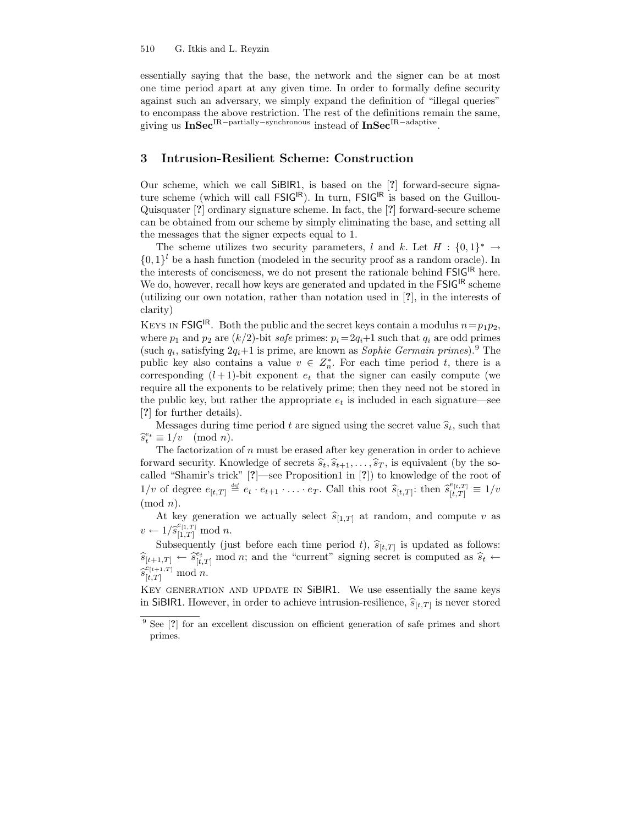essentially saying that the base, the network and the signer can be at most one time period apart at any given time. In order to formally define security against such an adversary, we simply expand the definition of "illegal queries" to encompass the above restriction. The rest of the definitions remain the same, giving us  $InSec^{IR-partially-synchronous}$  instead of  $InSec^{IR-adaptive}$ .

## 3 Intrusion-Resilient Scheme: Construction

Our scheme, which we call SiBIR1, is based on the [?] forward-secure signature scheme (which will call  $FSIG^{IR}$ ). In turn,  $FSIG^{IR}$  is based on the Guillou-Quisquater [?] ordinary signature scheme. In fact, the [?] forward-secure scheme can be obtained from our scheme by simply eliminating the base, and setting all the messages that the signer expects equal to 1.

The scheme utilizes two security parameters, l and k. Let  $H : \{0,1\}^* \to$  $\{0,1\}^l$  be a hash function (modeled in the security proof as a random oracle). In the interests of conciseness, we do not present the rationale behind  $\mathsf{FSIG}^{\mathsf{IR}}$  here. We do, however, recall how keys are generated and updated in the  $\mathsf{FSIG^{IR}}$  scheme (utilizing our own notation, rather than notation used in [?], in the interests of clarity)

KEYS IN FSIG<sup>IR</sup>. Both the public and the secret keys contain a modulus  $n=p_1p_2$ , where  $p_1$  and  $p_2$  are  $(k/2)$ -bit safe primes:  $p_i = 2q_i+1$  such that  $q_i$  are odd primes (such  $q_i$ , satisfying  $2q_i+1$  is prime, are known as Sophie Germain primes).<sup>9</sup> The public key also contains a value  $v \in Z_n^*$ . For each time period t, there is a corresponding  $(l+1)$ -bit exponent  $e_t$  that the signer can easily compute (we require all the exponents to be relatively prime; then they need not be stored in the public key, but rather the appropriate  $e_t$  is included in each signature—see [?] for further details).

Messages during time period t are signed using the secret value  $\hat{s}_t$ , such that  $\widehat{s}_t^{e_t} \equiv 1/v \pmod{n}.$ 

The factorization of  $n$  must be erased after key generation in order to achieve forward security. Knowledge of secrets  $\widehat{s}_t, \widehat{s}_{t+1}, \ldots, \widehat{s}_T$ , is equivalent (by the socalled "Shamir's trick" [?]—see Proposition1 in [?]) to knowledge of the root of  $1/v$  of degree  $e_{[t,T]} \stackrel{\text{\tiny def}}{=} e_t \cdot e_{t+1} \cdot \ldots \cdot e_T$ . Call this root  $\widehat{s}_{[t,T]}$ : then  $\widehat{s}_{[t,T]}^{e_{[t,T]}} \equiv 1/v$  $(mod n).$ 

At key generation we actually select  $\hat{s}_{[1,T]}$  at random, and compute v as  $v \leftarrow 1/\hat{s}_{[1,T]}^{\epsilon_{[1,T]}} \mod n.$ 

Subsequently (just before each time period t),  $\hat{s}_{[t,T]}$  is updated as follows:  $\widehat{s}_{[t+1,T]} \leftarrow \widehat{s}_{[t,T]}^{e_t} \mod n$ ; and the "current" signing secret is computed as  $\widehat{s}_t$   $\leftarrow$  $\widehat{s}_{[t,T]}^{e_{[t+1,T]}} \ \mathrm{mod}\ n.$ 

KEY GENERATION AND UPDATE IN SiBIR1. We use essentially the same keys in SiBIR1. However, in order to achieve intrusion-resilience,  $\widehat{s}_{[t,T]}$  is never stored

<sup>&</sup>lt;sup>9</sup> See [?] for an excellent discussion on efficient generation of safe primes and short primes.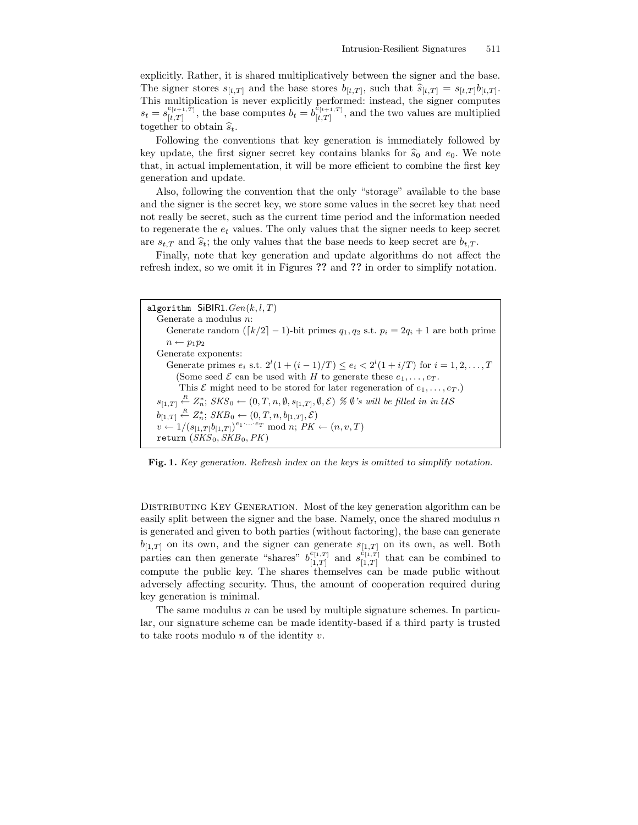explicitly. Rather, it is shared multiplicatively between the signer and the base. The signer stores  $s_{[t,T]}$  and the base stores  $b_{[t,T]}$ , such that  $\widehat{s}_{[t,T]} = s_{[t,T]} b_{[t,T]}$ . This multiplication is never explicitly performed: instead, the signer computes  $s_t = s_{[t,T]}^{e_{[t+1,T]}}$  $e_{[t+1,T]}^{e_{[t+1,T]}},$  the base computes  $b_t = b_{[t,T]}^{\hat{e}_{[t+1,T]}}$  $[t,T]$ , and the two values are multiplied together to obtain  $\widehat{s}_t$ .

Following the conventions that key generation is immediately followed by key update, the first signer secret key contains blanks for  $\hat{s}_0$  and  $e_0$ . We note that, in actual implementation, it will be more efficient to combine the first key generation and update.

Also, following the convention that the only "storage" available to the base and the signer is the secret key, we store some values in the secret key that need not really be secret, such as the current time period and the information needed to regenerate the  $e_t$  values. The only values that the signer needs to keep secret are  $s_{t,T}$  and  $\hat{s}_t$ ; the only values that the base needs to keep secret are  $b_{t,T}$ .

Finally, note that key generation and update algorithms do not affect the refresh index, so we omit it in Figures ?? and ?? in order to simplify notation.

| algorithm $SiBIR1.Gen(k, l, T)$                                                                                                                            |
|------------------------------------------------------------------------------------------------------------------------------------------------------------|
| Generate a modulus $n$ :                                                                                                                                   |
| Generate random ( $\lfloor k/2 \rfloor - 1$ )-bit primes $q_1, q_2$ s.t. $p_i = 2q_i + 1$ are both prime                                                   |
| $n \leftarrow p_1 p_2$                                                                                                                                     |
| Generate exponents:                                                                                                                                        |
| Generate primes $e_i$ s.t. $2^l(1+(i-1)/T) \le e_i < 2^l(1+i/T)$ for $i = 1, 2, , T$                                                                       |
| (Some seed $\mathcal E$ can be used with H to generate these $e_1, \ldots, e_T$ .                                                                          |
| This $\mathcal E$ might need to be stored for later regeneration of $e_1, \ldots, e_T$ .                                                                   |
| $s_{[1,T]} \stackrel{R}{\leftarrow} Z_n^*$ ; $SKS_0 \leftarrow (0,T,n,\emptyset,s_{[1,T]},\emptyset,\mathcal{E})$ % $\emptyset$ 's will be filled in in US |
| $b_{[1,T]} \stackrel{R}{\leftarrow} Z_n^*$ ; $SKB_0 \leftarrow (0,T,n,b_{[1,T]},\mathcal{E})$                                                              |
| $v \leftarrow 1/(s_{[1,T]}b_{[1,T]})^{e_1 \cdot \ldots \cdot e_T} \mod n; \; PK \leftarrow (n, v, T)$                                                      |
| return $(SKS_0, SKB_0, PK)$                                                                                                                                |
|                                                                                                                                                            |

Fig. 1. Key generation. Refresh index on the keys is omitted to simplify notation.

DISTRIBUTING KEY GENERATION. Most of the key generation algorithm can be easily split between the signer and the base. Namely, once the shared modulus  $n$ is generated and given to both parties (without factoring), the base can generate  $b_{[1,T]}$  on its own, and the signer can generate  $s_{[1,T]}$  on its own, as well. Both parties can then generate "shares"  $b_{[1, T]}^{e_{[1, T]}}$  $\frac{e_{[1,T]}}{[1,T]}$  and  $s_{[1,T]}^{e_{[1,T]}}$  $\begin{bmatrix}c_{[1,T]}\\[1,T]\end{bmatrix}$  that can be combined to compute the public key. The shares themselves can be made public without adversely affecting security. Thus, the amount of cooperation required during key generation is minimal.

The same modulus  $n$  can be used by multiple signature schemes. In particular, our signature scheme can be made identity-based if a third party is trusted to take roots modulo  $n$  of the identity  $v$ .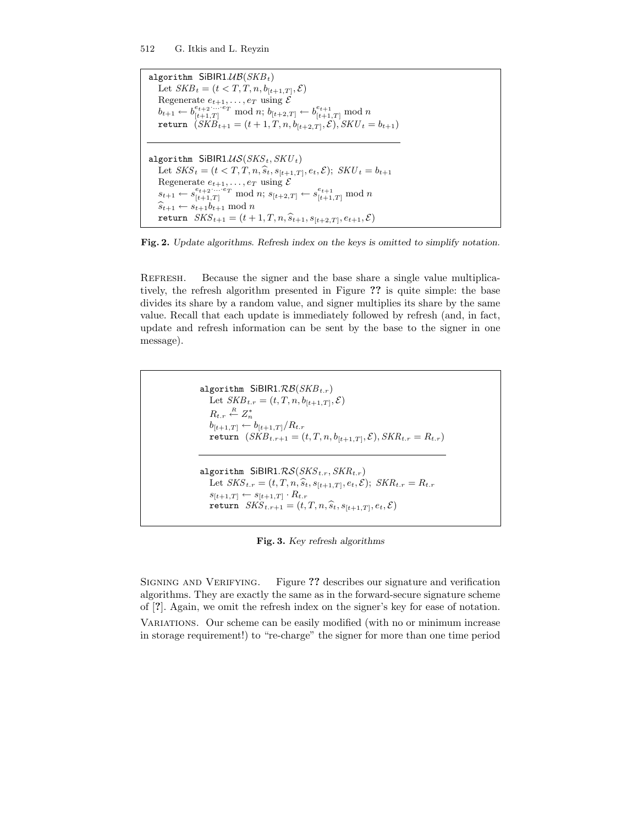512 G. Itkis and L. Reyzin

algorithm  $SiBIR1.\mathcal{UB}(SKB_t)$ Let  $SKB_t = (t < T, T, n, b_{[t+1,T]}, \mathcal{E})$ Regenerate  $e_{t+1}, \ldots, e_T$  using  $\mathcal E$  $b_{t+1} \leftarrow b_{[t+1,T]}^{e_{t+2} \cdot ... \cdot e_T} \mod n; \ b_{[t+2,T]} \leftarrow b_{[t+1,T]}^{e_{t+1}} \mod n$  $\texttt{return} \ \ (SKB_{t+1} = (t+1, T, n, b_{[t+2,T]}, \mathcal{E}), SKU_t = b_{t+1})$ algorithm  $SiBIR1.US(SKS_t, SKU_t)$ Let  $SKS_t = (t < T, T, n, \hat{s}_t, s_{[t+1,T]}, e_t, \mathcal{E}); \; SKU_t = b_{t+1}$ Regenerate  $e_{t+1}, \ldots, e_T$  using  $\mathcal E$  $s_{t+1} \leftarrow s_{[t+1,T]}^{e_{t+2}\cdots e_T} \mod n; \ s_{[t+2,T]} \leftarrow s_{[t+1,T]}^{e_{t+1}} \mod n$  $\widehat{s}_{t+1} \leftarrow s_{t+1} b_{t+1} \mod n$ return  $SKS_{t+1} = (t + 1, T, n, \widehat{s}_{t+1}, s_{[t+2,T]}, e_{t+1}, \mathcal{E})$ 

Fig. 2. Update algorithms. Refresh index on the keys is omitted to simplify notation.

Refresh. Because the signer and the base share a single value multiplicatively, the refresh algorithm presented in Figure ?? is quite simple: the base divides its share by a random value, and signer multiplies its share by the same value. Recall that each update is immediately followed by refresh (and, in fact, update and refresh information can be sent by the base to the signer in one message).

> algorithm  $SiBIR1.RB(SKB_{t.r})$ Let  $SKB_{t,r} = (t, T, n, b_{[t+1,T]}, \mathcal{E})$  $R_{t.r} \overset{R}{\leftarrow} Z_n^*$  $b_{[t+1,T]} \leftarrow b_{[t+1,T]} / R_{t,r}$  $\texttt{return} \ \ (SKB_{t.r+1} = (t, T, n, b_{[t+1,T]}, \mathcal{E}), SKR_{t.r} = R_{t.r})$ algorithm  $SiBIR1.RS(SKS_{t.r}, SKR_{t.r})$ Let  $SKS_{t,r} = (t, T, n, \widehat{s}_t, s_{[t+1,T]}, e_t, \mathcal{E}); \; SKR_{t,r} = R_{t,r}$  $s_{[t+1,T]} \leftarrow s_{[t+1,T]} \cdot R_{t.r}$ return  $SKS_{t.r+1} = (t, T, n, \widehat{s}_t, s_{[t+1,T]}, e_t, \mathcal{E})$

Fig. 3. Key refresh algorithms

Signing and Verifying. Figure ?? describes our signature and verification algorithms. They are exactly the same as in the forward-secure signature scheme of [?]. Again, we omit the refresh index on the signer's key for ease of notation. VARIATIONS. Our scheme can be easily modified (with no or minimum increase in storage requirement!) to "re-charge" the signer for more than one time period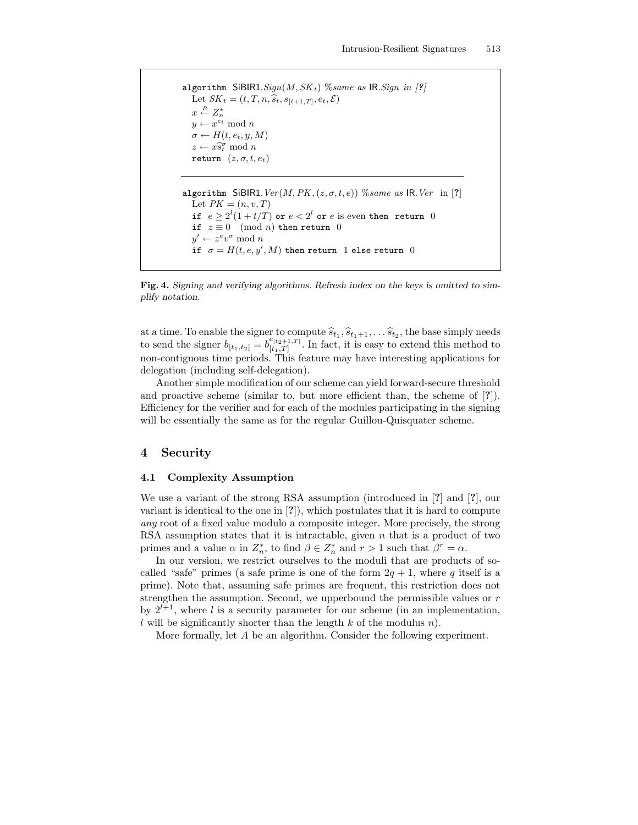```
algorithm SiBIR1.Sign(M, SK_t) %same as IR. Sign in [?]
 \text{Let}~~SK_t = (t, T, n, \widehat{s}_t, s_{[t+1,T]}, e_t, \mathcal{E})x \stackrel{R}{\leftarrow} Z_n^*y \leftarrow x^{e_t} \mod n\sigma \leftarrow H(t, e_t, y, M)z \leftarrow x \widehat{s}_t^{\sigma} \mod nreturn (z, \sigma, t, e_t)algorithm SiBIR1. Ver(M, PK, (z, \sigma, t, e)) %same as IR. Ver in [?]
Let PK = (n, v, T)if e \geq 2^l(1+t/T) or e < 2^l or e is even then return 0if z \equiv 0 \pmod{n} then return 0
 y' \leftarrow z^e v^\sigma \text{ mod } nif \sigma = H(t,e,y',M) then return 1 else return 0
```
Fig. 4. Signing and verifying algorithms. Refresh index on the keys is omitted to simplify notation.

at a time. To enable the signer to compute  $\widehat{s}_{t_1}, \widehat{s}_{t_1+1}, \ldots, \widehat{s}_{t_2}$ , the base simply needs to send the signer  $b_{[t_1,t_2]} = b_{[t_1,T]}^{e_{[t_2+1,T]}}$ . In fact, it is easy to extend this method to non-contiguous time periods. This feature may have interesting applications for delegation (including self-delegation).

Another simple modification of our scheme can yield forward-secure threshold and proactive scheme (similar to, but more efficient than, the scheme of [?]). Efficiency for the verifier and for each of the modules participating in the signing will be essentially the same as for the regular Guillou-Quisquater scheme.

# 4 Security

#### 4.1 Complexity Assumption

We use a variant of the strong RSA assumption (introduced in [?] and [?], our variant is identical to the one in [?]), which postulates that it is hard to compute any root of a fixed value modulo a composite integer. More precisely, the strong RSA assumption states that it is intractable, given  $n$  that is a product of two primes and a value  $\alpha$  in  $Z_n^*$ , to find  $\beta \in Z_n^*$  and  $r > 1$  such that  $\beta^r = \alpha$ .

In our version, we restrict ourselves to the moduli that are products of socalled "safe" primes (a safe prime is one of the form  $2q + 1$ , where q itself is a prime). Note that, assuming safe primes are frequent, this restriction does not strengthen the assumption. Second, we upperbound the permissible values or  $r$ by  $2^{l+1}$ , where l is a security parameter for our scheme (in an implementation, l will be significantly shorter than the length  $k$  of the modulus  $n$ ).

More formally, let A be an algorithm. Consider the following experiment.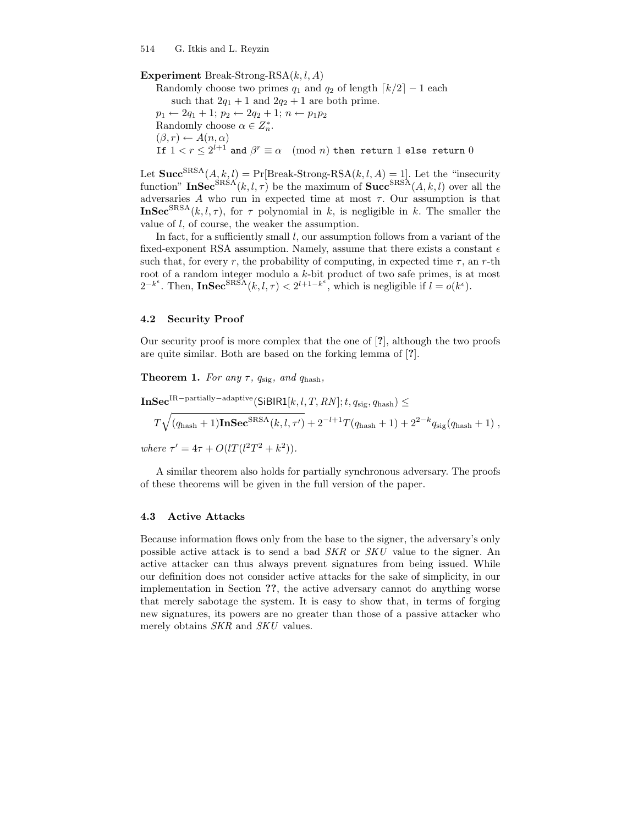## Experiment Break-Strong-RSA $(k, l, A)$

Randomly choose two primes  $q_1$  and  $q_2$  of length  $\lceil k/2 \rceil - 1$  each

such that  $2q_1 + 1$  and  $2q_2 + 1$  are both prime.

 $p_1 \leftarrow 2q_1 + 1; p_2 \leftarrow 2q_2 + 1; n \leftarrow p_1p_2$ 

Randomly choose  $\alpha \in Z_n^*$ .

 $(\beta, r) \leftarrow A(n, \alpha)$ 

If  $1 < r \leq 2^{l+1}$  and  $\beta^r \equiv \alpha \pmod n$  then return  $1$  else return  $0$ 

Let  $Succ^{SRSA}(A, k, l) = Pr[Break-Strong-RSA(k, l, A) = 1]$ . Let the "insecurity function" InSec<sup>SRSA</sup> $(k, l, \tau)$  be the maximum of Succ<sup>SRSA</sup> $(A, k, l)$  over all the adversaries A who run in expected time at most  $\tau$ . Our assumption is that **InSec**<sup>SRSA</sup>(k, l,  $\tau$ ), for  $\tau$  polynomial in k, is negligible in k. The smaller the value of  $l$ , of course, the weaker the assumption.

In fact, for a sufficiently small l, our assumption follows from a variant of the fixed-exponent RSA assumption. Namely, assume that there exists a constant  $\epsilon$ such that, for every r, the probability of computing, in expected time  $\tau$ , an r-th root of a random integer modulo a k-bit product of two safe primes, is at most  $2^{-k^{\epsilon}}$ . Then, **InSec**<sup>SRSA</sup> $(k, l, \tau) < 2^{l+1-k^{\epsilon}}$ , which is negligible if  $l = o(k^{\epsilon})$ .

#### 4.2 Security Proof

Our security proof is more complex that the one of [?], although the two proofs are quite similar. Both are based on the forking lemma of [?].

**Theorem 1.** For any  $\tau$ ,  $q_{\text{sig}}$ , and  $q_{\text{hash}}$ ,

 $\mathbf{InSec^{IR-partially-adaptive}(SiBR1}[k,l,T,RN];t,q_{\rm sig},q_{\rm hash})\leq$  $\boldsymbol{\mathcal{I}}$  $\sqrt{(q_{\text{hash}} + 1)\text{InSec}^{\text{SRSA}}(k, l, \tau')} + 2^{-l+1}T(q_{\text{hash}} + 1) + 2^{2-k}q_{\text{sig}}(q_{\text{hash}} + 1)$ 

where  $\tau' = 4\tau + O(lT(l^2T^2 + k^2)).$ 

A similar theorem also holds for partially synchronous adversary. The proofs of these theorems will be given in the full version of the paper.

#### 4.3 Active Attacks

Because information flows only from the base to the signer, the adversary's only possible active attack is to send a bad SKR or SKU value to the signer. An active attacker can thus always prevent signatures from being issued. While our definition does not consider active attacks for the sake of simplicity, in our implementation in Section ??, the active adversary cannot do anything worse that merely sabotage the system. It is easy to show that, in terms of forging new signatures, its powers are no greater than those of a passive attacker who merely obtains *SKR* and *SKU* values.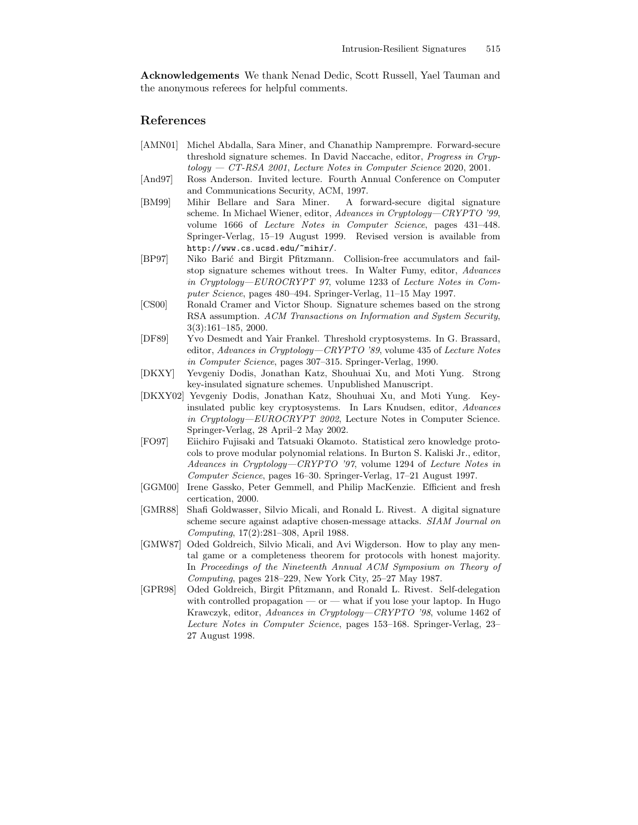Acknowledgements We thank Nenad Dedic, Scott Russell, Yael Tauman and the anonymous referees for helpful comments.

## References

- [AMN01] Michel Abdalla, Sara Miner, and Chanathip Namprempre. Forward-secure threshold signature schemes. In David Naccache, editor, Progress in Cryp $tology - CT-RSA 2001$ , Lecture Notes in Computer Science 2020, 2001.
- [And97] Ross Anderson. Invited lecture. Fourth Annual Conference on Computer and Communications Security, ACM, 1997.
- [BM99] Mihir Bellare and Sara Miner. A forward-secure digital signature scheme. In Michael Wiener, editor, Advances in Cryptology—CRYPTO '99, volume 1666 of Lecture Notes in Computer Science, pages 431–448. Springer-Verlag, 15–19 August 1999. Revised version is available from http://www.cs.ucsd.edu/~mihir/.
- [BP97] Niko Barić and Birgit Pfitzmann. Collision-free accumulators and failstop signature schemes without trees. In Walter Fumy, editor, Advances in Cryptology—EUROCRYPT 97, volume 1233 of Lecture Notes in Computer Science, pages 480–494. Springer-Verlag, 11–15 May 1997.
- [CS00] Ronald Cramer and Victor Shoup. Signature schemes based on the strong RSA assumption. ACM Transactions on Information and System Security, 3(3):161–185, 2000.
- [DF89] Yvo Desmedt and Yair Frankel. Threshold cryptosystems. In G. Brassard, editor, Advances in Cryptology—CRYPTO '89, volume 435 of Lecture Notes in Computer Science, pages 307–315. Springer-Verlag, 1990.
- [DKXY] Yevgeniy Dodis, Jonathan Katz, Shouhuai Xu, and Moti Yung. Strong key-insulated signature schemes. Unpublished Manuscript.
- [DKXY02] Yevgeniy Dodis, Jonathan Katz, Shouhuai Xu, and Moti Yung. Keyinsulated public key cryptosystems. In Lars Knudsen, editor, Advances in Cryptology—EUROCRYPT 2002, Lecture Notes in Computer Science. Springer-Verlag, 28 April–2 May 2002.
- [FO97] Eiichiro Fujisaki and Tatsuaki Okamoto. Statistical zero knowledge protocols to prove modular polynomial relations. In Burton S. Kaliski Jr., editor, Advances in Cryptology—CRYPTO '97, volume 1294 of Lecture Notes in Computer Science, pages 16–30. Springer-Verlag, 17–21 August 1997.
- [GGM00] Irene Gassko, Peter Gemmell, and Philip MacKenzie. Efficient and fresh certication, 2000.
- [GMR88] Shafi Goldwasser, Silvio Micali, and Ronald L. Rivest. A digital signature scheme secure against adaptive chosen-message attacks. SIAM Journal on Computing, 17(2):281–308, April 1988.
- [GMW87] Oded Goldreich, Silvio Micali, and Avi Wigderson. How to play any mental game or a completeness theorem for protocols with honest majority. In Proceedings of the Nineteenth Annual ACM Symposium on Theory of Computing, pages 218–229, New York City, 25–27 May 1987.
- [GPR98] Oded Goldreich, Birgit Pfitzmann, and Ronald L. Rivest. Self-delegation with controlled propagation — or — what if you lose your laptop. In Hugo Krawczyk, editor, Advances in Cryptology—CRYPTO '98, volume 1462 of Lecture Notes in Computer Science, pages 153–168. Springer-Verlag, 23– 27 August 1998.